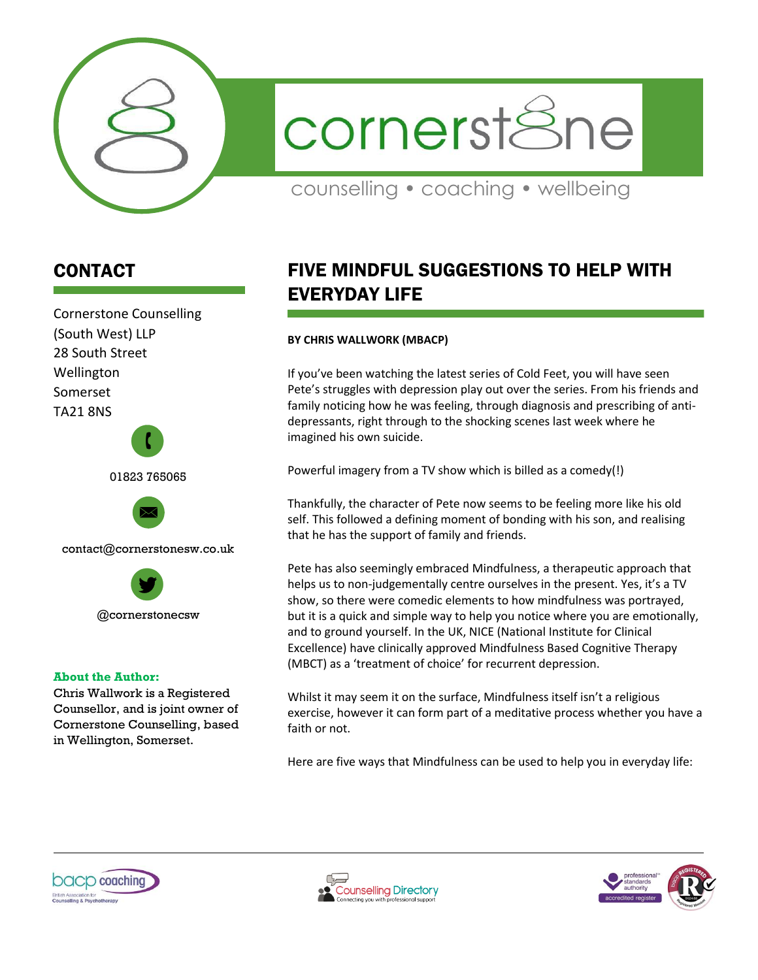

cornerst&ne

counselling • coaching • wellbeing

# CONTACT

Cornerstone Counselling (South West) LLP 28 South Street Wellington Somerset TA21 8NS

01823 765065

 $\mathbf{r}$ 



contact@cornerstonesw.co.uk



#### **About the Author:**

Chris Wallwork is a Registered Counsellor, and is joint owner of Cornerstone Counselling, based in Wellington, Somerset.

# FIVE MINDFUL SUGGESTIONS TO HELP WITH EVERYDAY LIFE

## **BY CHRIS WALLWORK (MBACP)**

If you've been watching the latest series of Cold Feet, you will have seen Pete's struggles with depression play out over the series. From his friends and family noticing how he was feeling, through diagnosis and prescribing of antidepressants, right through to the shocking scenes last week where he imagined his own suicide.

Powerful imagery from a TV show which is billed as a comedy(!)

Thankfully, the character of Pete now seems to be feeling more like his old self. This followed a defining moment of bonding with his son, and realising that he has the support of family and friends.

Pete has also seemingly embraced Mindfulness, a therapeutic approach that helps us to non-judgementally centre ourselves in the present. Yes, it's a TV show, so there were comedic elements to how mindfulness was portrayed, but it is a quick and simple way to help you notice where you are emotionally, and to ground yourself. In the UK, NICE (National Institute for Clinical Excellence) have clinically approved Mindfulness Based Cognitive Therapy (MBCT) as a 'treatment of choice' for recurrent depression.

Whilst it may seem it on the surface, Mindfulness itself isn't a religious exercise, however it can form part of a meditative process whether you have a faith or not.

Here are five ways that Mindfulness can be used to help you in everyday life:





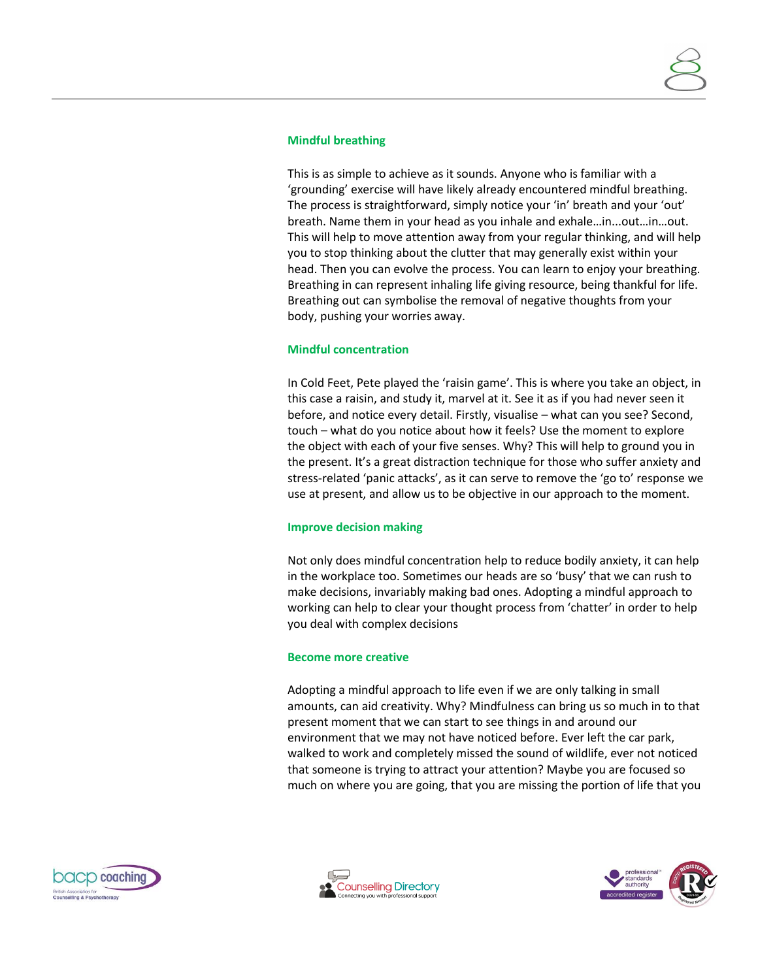#### **Mindful breathing**

This is as simple to achieve as it sounds. Anyone who is familiar with a 'grounding' exercise will have likely already encountered mindful breathing. The process is straightforward, simply notice your 'in' breath and your 'out' breath. Name them in your head as you inhale and exhale…in...out…in…out. This will help to move attention away from your regular thinking, and will help you to stop thinking about the clutter that may generally exist within your head. Then you can evolve the process. You can learn to enjoy your breathing. Breathing in can represent inhaling life giving resource, being thankful for life. Breathing out can symbolise the removal of negative thoughts from your body, pushing your worries away.

#### **Mindful concentration**

In Cold Feet, Pete played the 'raisin game'. This is where you take an object, in this case a raisin, and study it, marvel at it. See it as if you had never seen it before, and notice every detail. Firstly, visualise – what can you see? Second, touch – what do you notice about how it feels? Use the moment to explore the object with each of your five senses. Why? This will help to ground you in the present. It's a great distraction technique for those who suffer anxiety and stress-related 'panic attacks', as it can serve to remove the 'go to' response we use at present, and allow us to be objective in our approach to the moment.

## **Improve decision making**

Not only does mindful concentration help to reduce bodily anxiety, it can help in the workplace too. Sometimes our heads are so 'busy' that we can rush to make decisions, invariably making bad ones. Adopting a mindful approach to working can help to clear your thought process from 'chatter' in order to help you deal with complex decisions

#### **Become more creative**

Adopting a mindful approach to life even if we are only talking in small amounts, can aid creativity. Why? Mindfulness can bring us so much in to that present moment that we can start to see things in and around our environment that we may not have noticed before. Ever left the car park, walked to work and completely missed the sound of wildlife, ever not noticed that someone is trying to attract your attention? Maybe you are focused so much on where you are going, that you are missing the portion of life that you